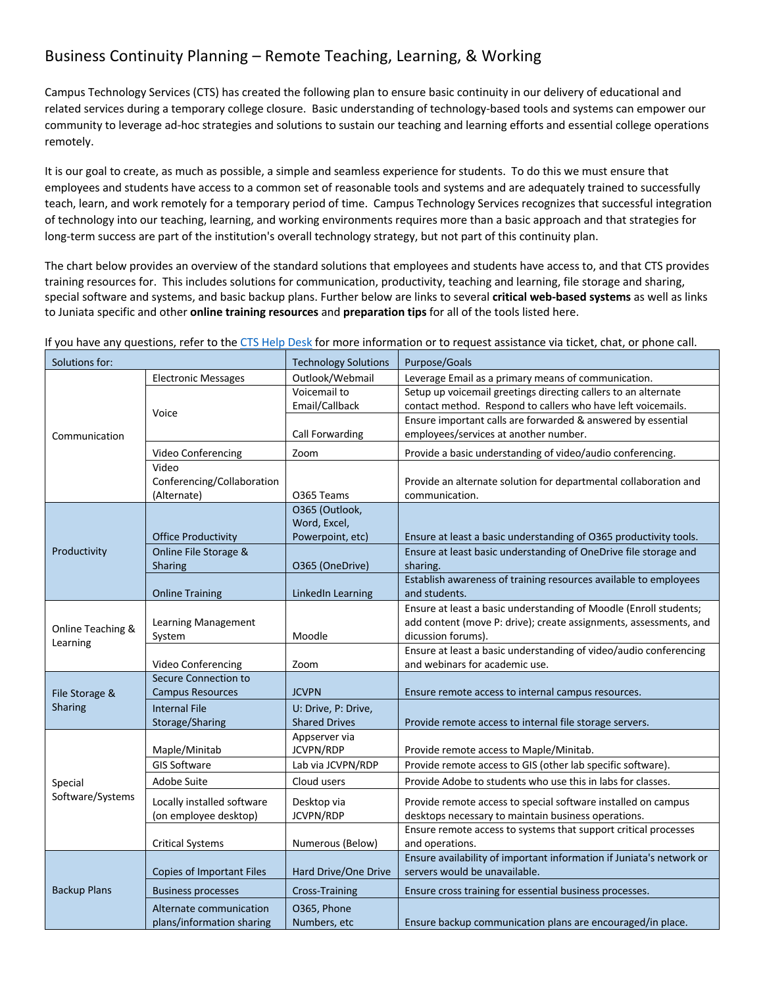## Business Continuity Planning – Remote Teaching, Learning, & Working

Campus Technology Services (CTS) has created the following plan to ensure basic continuity in our delivery of educational and related services during a temporary college closure. Basic understanding of technology-based tools and systems can empower our community to leverage ad-hoc strategies and solutions to sustain our teaching and learning efforts and essential college operations remotely.

It is our goal to create, as much as possible, a simple and seamless experience for students. To do this we must ensure that employees and students have access to a common set of reasonable tools and systems and are adequately trained to successfully teach, learn, and work remotely for a temporary period of time. Campus Technology Services recognizes that successful integration of technology into our teaching, learning, and working environments requires more than a basic approach and that strategies for long-term success are part of the institution's overall technology strategy, but not part of this continuity plan.

The chart below provides an overview of the standard solutions that employees and students have access to, and that CTS provides training resources for. This includes solutions for communication, productivity, teaching and learning, file storage and sharing, special software and systems, and basic backup plans. Further below are links to several **critical web-based systems** as well as links to Juniata specific and other **online training resources** and **preparation tips** for all of the tools listed here.

| Solutions for:              |                                                     | <b>Technology Solutions</b>      | Purpose/Goals                                                                |  |
|-----------------------------|-----------------------------------------------------|----------------------------------|------------------------------------------------------------------------------|--|
| Communication               | <b>Electronic Messages</b>                          | Outlook/Webmail                  | Leverage Email as a primary means of communication.                          |  |
|                             |                                                     | Voicemail to                     | Setup up voicemail greetings directing callers to an alternate               |  |
|                             | Voice                                               | Email/Callback                   | contact method. Respond to callers who have left voicemails.                 |  |
|                             |                                                     |                                  | Ensure important calls are forwarded & answered by essential                 |  |
|                             |                                                     | Call Forwarding                  | employees/services at another number.                                        |  |
|                             | Video Conferencing                                  | Zoom                             | Provide a basic understanding of video/audio conferencing.                   |  |
|                             | Video                                               |                                  |                                                                              |  |
|                             | Conferencing/Collaboration                          |                                  | Provide an alternate solution for departmental collaboration and             |  |
|                             | (Alternate)                                         | O365 Teams                       | communication.                                                               |  |
|                             |                                                     | O365 (Outlook,                   |                                                                              |  |
|                             |                                                     | Word, Excel,<br>Powerpoint, etc) |                                                                              |  |
|                             | <b>Office Productivity</b><br>Online File Storage & |                                  | Ensure at least a basic understanding of O365 productivity tools.            |  |
| Productivity                | Sharing                                             | O365 (OneDrive)                  | Ensure at least basic understanding of OneDrive file storage and<br>sharing. |  |
|                             |                                                     |                                  | Establish awareness of training resources available to employees             |  |
|                             | <b>Online Training</b>                              | <b>LinkedIn Learning</b>         | and students.                                                                |  |
|                             |                                                     |                                  | Ensure at least a basic understanding of Moodle (Enroll students;            |  |
|                             | Learning Management                                 |                                  | add content (move P: drive); create assignments, assessments, and            |  |
| Online Teaching &           | System                                              | Moodle                           | dicussion forums).                                                           |  |
| Learning                    |                                                     |                                  | Ensure at least a basic understanding of video/audio conferencing            |  |
|                             | Video Conferencing                                  | Zoom                             | and webinars for academic use.                                               |  |
|                             | Secure Connection to                                |                                  |                                                                              |  |
| File Storage &              | <b>Campus Resources</b>                             | <b>JCVPN</b>                     | Ensure remote access to internal campus resources.                           |  |
| Sharing                     | <b>Internal File</b>                                | U: Drive, P: Drive,              |                                                                              |  |
|                             | Storage/Sharing                                     | <b>Shared Drives</b>             | Provide remote access to internal file storage servers.                      |  |
|                             |                                                     | Appserver via                    |                                                                              |  |
| Special<br>Software/Systems | Maple/Minitab                                       | JCVPN/RDP                        | Provide remote access to Maple/Minitab.                                      |  |
|                             | <b>GIS Software</b>                                 | Lab via JCVPN/RDP                | Provide remote access to GIS (other lab specific software).                  |  |
|                             | Adobe Suite                                         | Cloud users                      | Provide Adobe to students who use this in labs for classes.                  |  |
|                             | Locally installed software                          | Desktop via                      | Provide remote access to special software installed on campus                |  |
|                             | (on employee desktop)                               | JCVPN/RDP                        | desktops necessary to maintain business operations.                          |  |
|                             |                                                     |                                  | Ensure remote access to systems that support critical processes              |  |
|                             | <b>Critical Systems</b>                             | Numerous (Below)                 | and operations.                                                              |  |
| <b>Backup Plans</b>         |                                                     |                                  | Ensure availability of important information if Juniata's network or         |  |
|                             | Copies of Important Files                           | Hard Drive/One Drive             | servers would be unavailable.                                                |  |
|                             | <b>Business processes</b>                           | <b>Cross-Training</b>            | Ensure cross training for essential business processes.                      |  |
|                             | Alternate communication                             | O365, Phone                      |                                                                              |  |
|                             | plans/information sharing                           | Numbers, etc                     | Ensure backup communication plans are encouraged/in place.                   |  |

If you have any questions, refer to the CTS Help Desk for more information or to request assistance via ticket, chat, or phone call.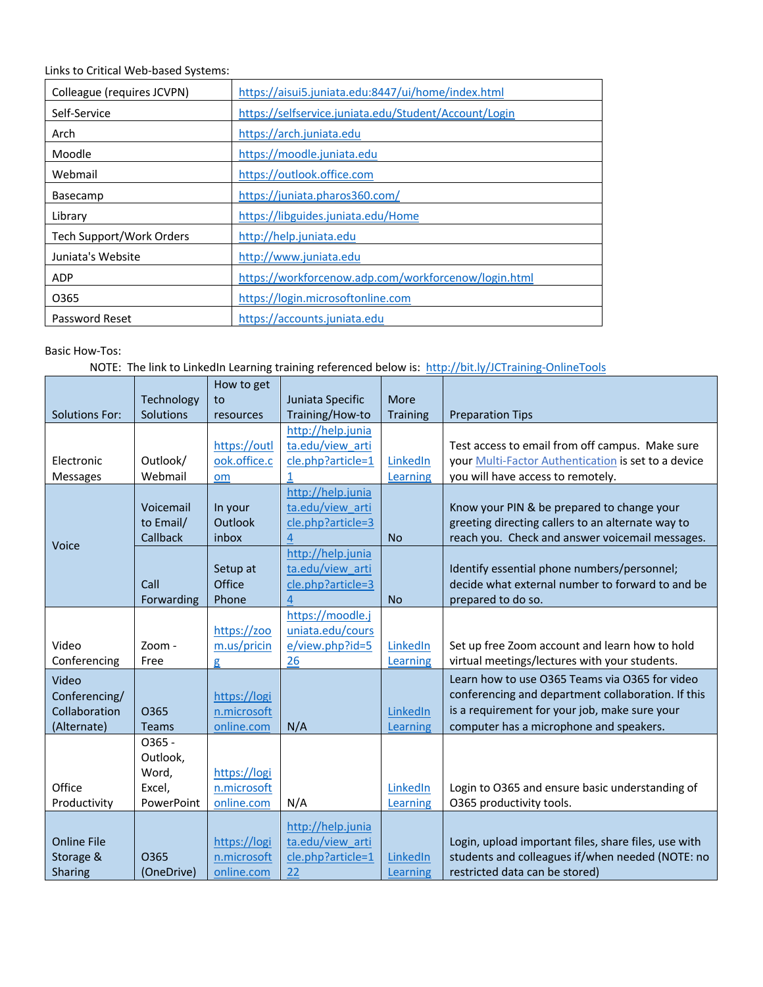Links to Critical Web-based Systems:

| Colleague (requires JCVPN) | https://aisui5.juniata.edu:8447/ui/home/index.html    |  |  |
|----------------------------|-------------------------------------------------------|--|--|
| Self-Service               | https://selfservice.juniata.edu/Student/Account/Login |  |  |
| Arch                       | https://arch.juniata.edu                              |  |  |
| Moodle                     | https://moodle.juniata.edu                            |  |  |
| Webmail                    | https://outlook.office.com                            |  |  |
| <b>Basecamp</b>            | https://juniata.pharos360.com/                        |  |  |
| Library                    | https://libguides.juniata.edu/Home                    |  |  |
| Tech Support/Work Orders   | http://help.juniata.edu                               |  |  |
| Juniata's Website          | http://www.juniata.edu                                |  |  |
| <b>ADP</b>                 | https://workforcenow.adp.com/workforcenow/login.html  |  |  |
| 0365                       | https://login.microsoftonline.com                     |  |  |
| Password Reset             | https://accounts.juniata.edu                          |  |  |

## Basic How-Tos:

NOTE: The link to LinkedIn Learning training referenced below is: http://bit.ly/JCTraining-OnlineTools

|                       |            | How to get   |                   |                 |                                                      |
|-----------------------|------------|--------------|-------------------|-----------------|------------------------------------------------------|
|                       | Technology | to           | Juniata Specific  | More            |                                                      |
| <b>Solutions For:</b> | Solutions  | resources    | Training/How-to   | <b>Training</b> | <b>Preparation Tips</b>                              |
|                       |            |              | http://help.junia |                 |                                                      |
|                       |            | https://outl | ta.edu/view arti  |                 | Test access to email from off campus. Make sure      |
| Electronic            | Outlook/   | ook.office.c | cle.php?article=1 | LinkedIn        | your Multi-Factor Authentication is set to a device  |
| <b>Messages</b>       | Webmail    | om           | 1                 | Learning        | you will have access to remotely.                    |
|                       |            |              | http://help.junia |                 |                                                      |
|                       | Voicemail  | In your      | ta.edu/view arti  |                 | Know your PIN & be prepared to change your           |
|                       | to Email/  | Outlook      | cle.php?article=3 |                 | greeting directing callers to an alternate way to    |
|                       | Callback   | inbox        | 4                 | <b>No</b>       | reach you. Check and answer voicemail messages.      |
| Voice                 |            |              | http://help.junia |                 |                                                      |
|                       |            | Setup at     | ta.edu/view arti  |                 | Identify essential phone numbers/personnel;          |
|                       | Call       | Office       | cle.php?article=3 |                 | decide what external number to forward to and be     |
|                       | Forwarding | Phone        | $\overline{a}$    | <b>No</b>       | prepared to do so.                                   |
|                       |            |              | https://moodle.j  |                 |                                                      |
|                       |            | https://zoo  | uniata.edu/cours  |                 |                                                      |
| Video                 | Zoom -     | m.us/pricin  | e/view.php?id=5   | LinkedIn        | Set up free Zoom account and learn how to hold       |
| Conferencing          | Free       | g            | 26                | Learning        | virtual meetings/lectures with your students.        |
| Video                 |            |              |                   |                 | Learn how to use O365 Teams via O365 for video       |
| Conferencing/         |            | https://logi |                   |                 | conferencing and department collaboration. If this   |
| Collaboration         | 0365       | n.microsoft  |                   | LinkedIn        | is a requirement for your job, make sure your        |
| (Alternate)           | Teams      | online.com   | N/A               | Learning        | computer has a microphone and speakers.              |
|                       | 0365 -     |              |                   |                 |                                                      |
|                       | Outlook,   |              |                   |                 |                                                      |
|                       | Word,      | https://logi |                   |                 |                                                      |
| Office                | Excel,     | n.microsoft  |                   | LinkedIn        | Login to O365 and ensure basic understanding of      |
| Productivity          | PowerPoint | online.com   | N/A               | Learning        | O365 productivity tools.                             |
|                       |            |              |                   |                 |                                                      |
|                       |            |              | http://help.junia |                 |                                                      |
| <b>Online File</b>    |            | https://logi | ta.edu/view arti  |                 | Login, upload important files, share files, use with |
| Storage &             | 0365       | n.microsoft  | cle.php?article=1 | LinkedIn        | students and colleagues if/when needed (NOTE: no     |
| Sharing               | (OneDrive) | online.com   | 22                | Learning        | restricted data can be stored)                       |